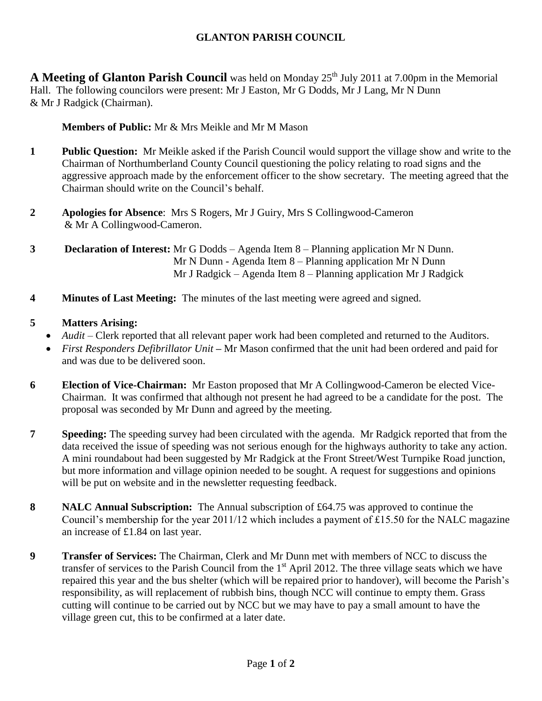# **GLANTON PARISH COUNCIL**

**A** Meeting of Glanton Parish Council was held on Monday 25<sup>th</sup> July 2011 at 7.00pm in the Memorial Hall. The following councilors were present: Mr J Easton, Mr G Dodds, Mr J Lang, Mr N Dunn & Mr J Radgick (Chairman).

#### **Members of Public:** Mr & Mrs Meikle and Mr M Mason

- **1 Public Question:** Mr Meikle asked if the Parish Council would support the village show and write to the Chairman of Northumberland County Council questioning the policy relating to road signs and the aggressive approach made by the enforcement officer to the show secretary. The meeting agreed that the Chairman should write on the Council's behalf.
- **2 Apologies for Absence**: Mrs S Rogers, Mr J Guiry, Mrs S Collingwood-Cameron & Mr A Collingwood-Cameron.
- **3 Declaration of Interest:** Mr G Dodds Agenda Item 8 Planning application Mr N Dunn. Mr N Dunn - Agenda Item 8 – Planning application Mr N Dunn Mr J Radgick – Agenda Item 8 – Planning application Mr J Radgick
- **4 Minutes of Last Meeting:** The minutes of the last meeting were agreed and signed.

### **5 Matters Arising:**

- *Audit* Clerk reported that all relevant paper work had been completed and returned to the Auditors.
- *First Responders Defibrillator Unit* **–** Mr Mason confirmed that the unit had been ordered and paid for and was due to be delivered soon.
- **6 Election of Vice-Chairman:** Mr Easton proposed that Mr A Collingwood-Cameron be elected Vice-Chairman. It was confirmed that although not present he had agreed to be a candidate for the post. The proposal was seconded by Mr Dunn and agreed by the meeting.
- **7 Speeding:** The speeding survey had been circulated with the agenda. Mr Radgick reported that from the data received the issue of speeding was not serious enough for the highways authority to take any action. A mini roundabout had been suggested by Mr Radgick at the Front Street/West Turnpike Road junction, but more information and village opinion needed to be sought. A request for suggestions and opinions will be put on website and in the newsletter requesting feedback.
- **8 NALC Annual Subscription:** The Annual subscription of £64.75 was approved to continue the Council's membership for the year 2011/12 which includes a payment of £15.50 for the NALC magazine an increase of £1.84 on last year.
- **9 Transfer of Services:** The Chairman, Clerk and Mr Dunn met with members of NCC to discuss the transfer of services to the Parish Council from the  $1<sup>st</sup>$  April 2012. The three village seats which we have repaired this year and the bus shelter (which will be repaired prior to handover), will become the Parish's responsibility, as will replacement of rubbish bins, though NCC will continue to empty them. Grass cutting will continue to be carried out by NCC but we may have to pay a small amount to have the village green cut, this to be confirmed at a later date.